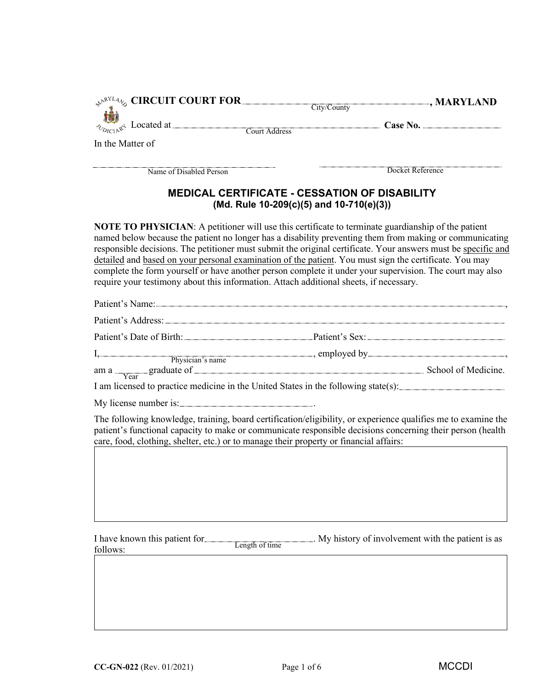|                                                                                        | $\Box$ , MARYLAND<br>$\mathcal{P}^{\text{RYL4}}$ CIRCUIT COURT FOR<br>City/County                                                                                                                                                                                                                                                                                                                                                                                                                                                                           |
|----------------------------------------------------------------------------------------|-------------------------------------------------------------------------------------------------------------------------------------------------------------------------------------------------------------------------------------------------------------------------------------------------------------------------------------------------------------------------------------------------------------------------------------------------------------------------------------------------------------------------------------------------------------|
|                                                                                        |                                                                                                                                                                                                                                                                                                                                                                                                                                                                                                                                                             |
| In the Matter of                                                                       |                                                                                                                                                                                                                                                                                                                                                                                                                                                                                                                                                             |
|                                                                                        |                                                                                                                                                                                                                                                                                                                                                                                                                                                                                                                                                             |
| Name of Disabled Person                                                                | Docket Reference                                                                                                                                                                                                                                                                                                                                                                                                                                                                                                                                            |
|                                                                                        | MEDICAL CERTIFICATE - CESSATION OF DISABILITY<br>(Md. Rule 10-209(c)(5) and 10-710(e)(3))                                                                                                                                                                                                                                                                                                                                                                                                                                                                   |
| require your testimony about this information. Attach additional sheets, if necessary. | <b>NOTE TO PHYSICIAN:</b> A petitioner will use this certificate to terminate guardianship of the patient<br>named below because the patient no longer has a disability preventing them from making or communicating<br>responsible decisions. The petitioner must submit the original certificate. Your answers must be specific and<br>detailed and based on your personal examination of the patient. You must sign the certificate. You may<br>complete the form yourself or have another person complete it under your supervision. The court may also |
|                                                                                        | Patient's Name: Name: Name and Allen Contract and Allen Contract and Allen Contract and Allen Contract and Allen Contract and Allen Contract and Allen Contract and Allen Contract and Allen Contract and Allen Contract and A                                                                                                                                                                                                                                                                                                                              |
|                                                                                        | Patient's Address: Note and the Contract of the Contract of the Contract of the Contract of the Contract of the Contract of the Contract of the Contract of the Contract of the Contract of the Contract of the Contract of th                                                                                                                                                                                                                                                                                                                              |
|                                                                                        | Patient's Date of Birth: Patient's Sex: Patient's Sex: Patient's Sex: Patient's Date of Birth:                                                                                                                                                                                                                                                                                                                                                                                                                                                              |
|                                                                                        |                                                                                                                                                                                                                                                                                                                                                                                                                                                                                                                                                             |
|                                                                                        |                                                                                                                                                                                                                                                                                                                                                                                                                                                                                                                                                             |
|                                                                                        |                                                                                                                                                                                                                                                                                                                                                                                                                                                                                                                                                             |
|                                                                                        |                                                                                                                                                                                                                                                                                                                                                                                                                                                                                                                                                             |
| My license number is: ________________________________.                                | I, Physician's name employed by employed by and the state of the state of the state of the state of the state of the state of the state of the state of the state of the state of the state of the state of the state of the s<br>$\frac{1}{\text{Year}}$ graduate of School of Medicine.<br>I am licensed to practice medicine in the United States in the following state(s):                                                                                                                                                                             |
|                                                                                        |                                                                                                                                                                                                                                                                                                                                                                                                                                                                                                                                                             |
| care, food, clothing, shelter, etc.) or to manage their property or financial affairs: | The following knowledge, training, board certification/eligibility, or experience qualifies me to examine the<br>patient's functional capacity to make or communicate responsible decisions concerning their person (health                                                                                                                                                                                                                                                                                                                                 |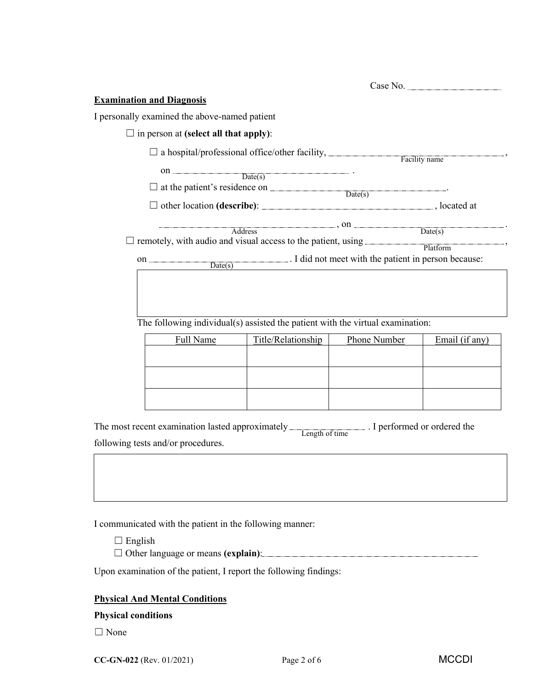| <b>Examination and Diagnosis</b>                                    |                                                                                                                                                                                                                                                                   |              |                |  |
|---------------------------------------------------------------------|-------------------------------------------------------------------------------------------------------------------------------------------------------------------------------------------------------------------------------------------------------------------|--------------|----------------|--|
| I personally examined the above-named patient                       |                                                                                                                                                                                                                                                                   |              |                |  |
| $\Box$ in person at (select all that apply):                        |                                                                                                                                                                                                                                                                   |              |                |  |
|                                                                     |                                                                                                                                                                                                                                                                   |              | Facility name  |  |
|                                                                     | on $\overline{\text{Date(s)}}$ .                                                                                                                                                                                                                                  |              |                |  |
|                                                                     |                                                                                                                                                                                                                                                                   |              |                |  |
|                                                                     |                                                                                                                                                                                                                                                                   |              |                |  |
| $\Box$ remotely, with audio and visual access to the patient, using | $Address$ , on $Date(s)$ .<br>on <u>Date(s)</u> Date(s) Bate(s) Bate(s) Bate(s) Date(s) Date(s) Bate(s) Bate(s) Date(s) Bate(s) Bate(s) Bate(s) Bate(s) Bate(s) Bate(s) Bate(s) Bate(s) Bate(s) Bate(s) Bate(s) Bate(s) Bate(s) Bate(s) Bate(s) Bate(s) Bate(s) B |              | Platform       |  |
|                                                                     | The following individual(s) assisted the patient with the virtual examination:                                                                                                                                                                                    |              |                |  |
| Full Name                                                           | Title/Relationship                                                                                                                                                                                                                                                | Phone Number | Email (if any) |  |
|                                                                     |                                                                                                                                                                                                                                                                   |              |                |  |
|                                                                     |                                                                                                                                                                                                                                                                   |              |                |  |
|                                                                     |                                                                                                                                                                                                                                                                   |              |                |  |

| The most recent examination lasted approximately Length of time . I performed or ordered the |  |
|----------------------------------------------------------------------------------------------|--|
|                                                                                              |  |
| following tests and/or procedures.                                                           |  |

I communicated with the patient in the following manner:

- $\Box$  English
- ☐ Other language or means **(explain)**:

Upon examination of the patient, I report the following findings:

# **Physical And Mental Conditions**

# **Physical conditions**

☐ None

**CC-GN-022** (Rev. 01/2021) Page 2 of 6 MCCDI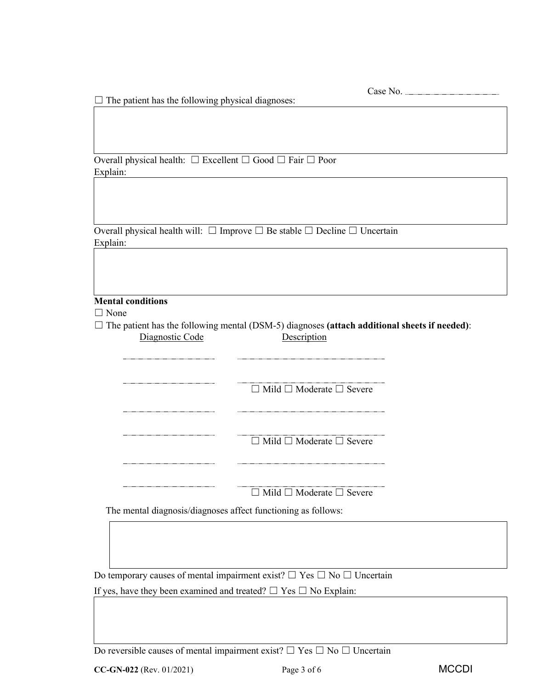Case No.

 $\Box$  The patient has the following physical diagnoses:

Overall physical health: ☐ Excellent ☐ Good ☐ Fair ☐ Poor Explain:

Overall physical health will:  $\Box$  Improve  $\Box$  Be stable  $\Box$  Decline  $\Box$  Uncertain Explain:

## **Mental conditions**

□ None

☐ The patient has the following mental (DSM-5) diagnoses **(attach additional sheets if needed)**: Diagnostic Code Description

| $\Box$ Mild $\Box$ Moderate $\Box$ Severe |
|-------------------------------------------|
|                                           |
|                                           |
|                                           |
|                                           |
|                                           |
|                                           |
| $\Box$ Mild $\Box$ Moderate $\Box$ Severe |
|                                           |
|                                           |
|                                           |
|                                           |
|                                           |
|                                           |

☐ Mild ☐ Moderate ☐ Severe

The mental diagnosis/diagnoses affect functioning as follows:

Do temporary causes of mental impairment exist?  $\Box$  Yes  $\Box$  No  $\Box$  Uncertain

If yes, have they been examined and treated?  $\Box$  Yes  $\Box$  No Explain:

Do reversible causes of mental impairment exist?  $\Box$  Yes  $\Box$  No  $\Box$  Uncertain

**CC-GN-022** (Rev. 01/2021) Page 3 of 6 MCCDI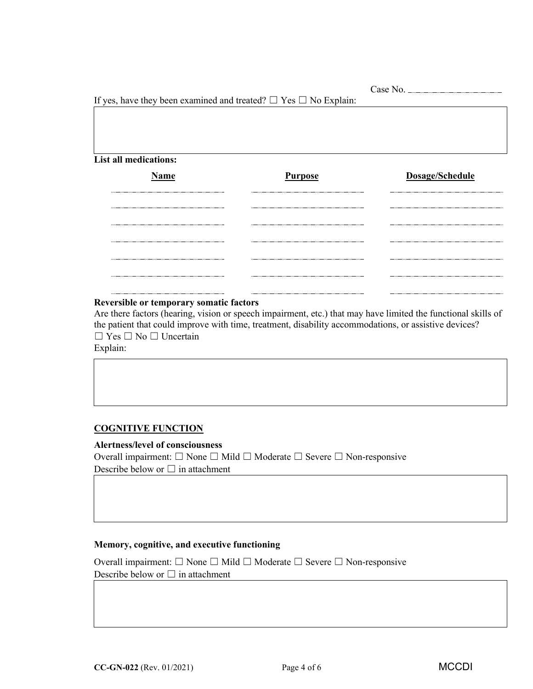|                              | If yes, have they been examined and treated? $\Box$ Yes $\Box$ No Explain: |                 |  |
|------------------------------|----------------------------------------------------------------------------|-----------------|--|
|                              |                                                                            |                 |  |
|                              |                                                                            |                 |  |
|                              |                                                                            |                 |  |
|                              |                                                                            |                 |  |
|                              |                                                                            |                 |  |
| <b>List all medications:</b> |                                                                            |                 |  |
|                              |                                                                            |                 |  |
| Name                         | <b>Purpose</b>                                                             | Dosage/Schedule |  |
|                              |                                                                            |                 |  |
|                              |                                                                            |                 |  |
|                              |                                                                            |                 |  |
|                              |                                                                            |                 |  |
|                              |                                                                            |                 |  |
|                              |                                                                            |                 |  |
|                              |                                                                            |                 |  |
|                              |                                                                            |                 |  |
|                              |                                                                            |                 |  |
|                              |                                                                            |                 |  |
|                              |                                                                            |                 |  |

#### **Reversible or temporary somatic factors**

Are there factors (hearing, vision or speech impairment, etc.) that may have limited the functional skills of the patient that could improve with time, treatment, disability accommodations, or assistive devices? ☐ Yes ☐ No ☐ Uncertain

Explain:

# **COGNITIVE FUNCTION**

**Alertness/level of consciousness** Overall impairment: ☐ None ☐ Mild ☐ Moderate ☐ Severe ☐ Non-responsive Describe below or  $\Box$  in attachment

## **Memory, cognitive, and executive functioning**

Overall impairment: ☐ None ☐ Mild ☐ Moderate ☐ Severe ☐ Non-responsive

Describe below or  $\Box$  in attachment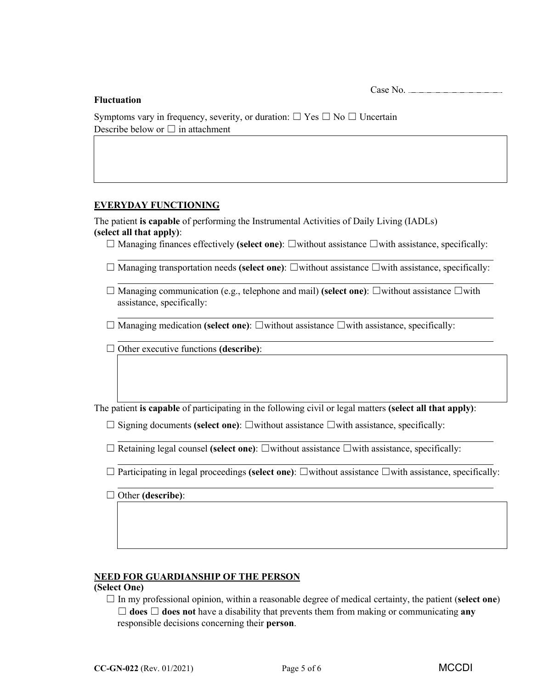Case No.

#### **Fluctuation**

| Symptoms vary in frequency, severity, or duration: $\Box$ Yes $\Box$ No $\Box$ Uncertain |  |
|------------------------------------------------------------------------------------------|--|
| Describe below or $\Box$ in attachment                                                   |  |

### **EVERYDAY FUNCTIONING**

The patient **is capable** of performing the Instrumental Activities of Daily Living (IADLs) **(select all that apply)**:

- ☐ Managing finances effectively **(select one)**: ☐without assistance ☐with assistance, specifically:
- ☐ Managing transportation needs **(select one)**: ☐without assistance ☐with assistance, specifically:
- ☐ Managing communication (e.g., telephone and mail) **(select one)**: ☐without assistance ☐with assistance, specifically:
- ☐ Managing medication **(select one)**: ☐without assistance ☐with assistance, specifically:
- ☐ Other executive functions **(describe)**:

The patient **is capable** of participating in the following civil or legal matters **(select all that apply)**:

- ☐ Signing documents **(select one)**: ☐without assistance ☐with assistance, specifically:
- ☐ Retaining legal counsel **(select one)**: ☐without assistance ☐with assistance, specifically:
- ☐ Participating in legal proceedings **(select one)**: ☐without assistance ☐with assistance, specifically:
- ☐ Other **(describe)**:

### **NEED FOR GUARDIANSHIP OF THE PERSON**

#### **(Select One)**

 $\Box$  In my professional opinion, within a reasonable degree of medical certainty, the patient (**select one**)  $\Box$  **does**  $\Box$  **does not** have a disability that prevents them from making or communicating any responsible decisions concerning their **person**.